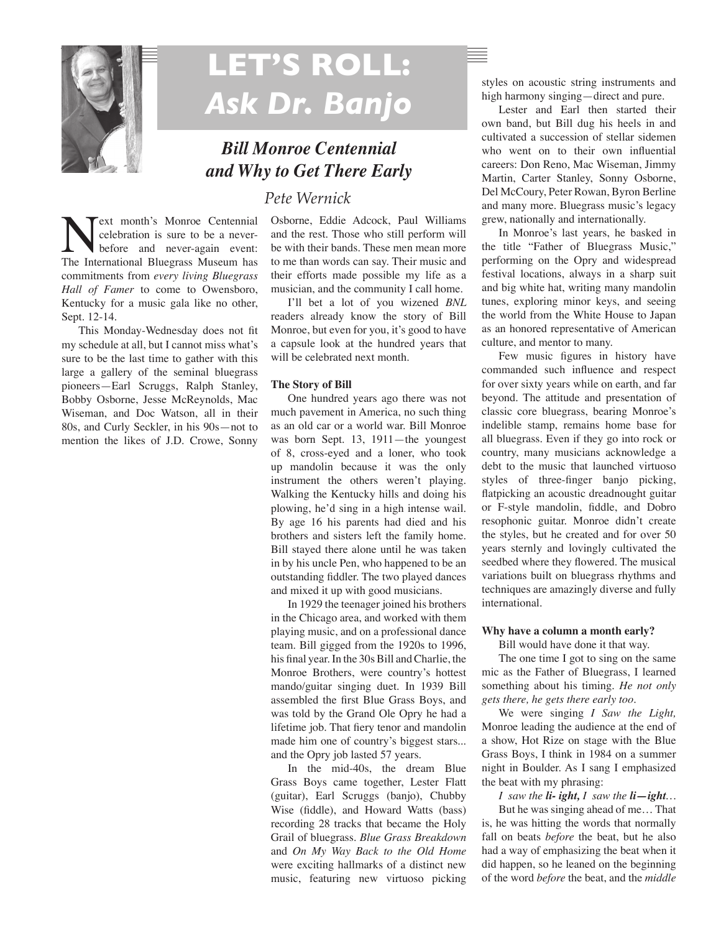

# **LET'S ROLL:**  *Ask Dr. Banjo*

# *Bill Monroe Centennial and Why to Get There Early*

## *Pete Wernick*

**Next month's Monroe Centennial**<br>
celebration is sure to be a never-<br>
The International Bluegrass Museum has celebration is sure to be a neverbefore and never-again event: commitments from *every living Bluegrass Hall of Famer* to come to Owensboro, Kentucky for a music gala like no other, Sept. 12-14.

This Monday-Wednesday does not fit my schedule at all, but I cannot miss what's sure to be the last time to gather with this large a gallery of the seminal bluegrass pioneers—Earl Scruggs, Ralph Stanley, Bobby Osborne, Jesse McReynolds, Mac Wiseman, and Doc Watson, all in their 80s, and Curly Seckler, in his 90s—not to mention the likes of J.D. Crowe, Sonny

Osborne, Eddie Adcock, Paul Williams and the rest. Those who still perform will be with their bands. These men mean more to me than words can say. Their music and their efforts made possible my life as a musician, and the community I call home.

I'll bet a lot of you wizened *BNL*  readers already know the story of Bill Monroe, but even for you, it's good to have a capsule look at the hundred years that will be celebrated next month.

### **The Story of Bill**

One hundred years ago there was not much pavement in America, no such thing as an old car or a world war. Bill Monroe was born Sept. 13, 1911—the youngest of 8, cross-eyed and a loner, who took up mandolin because it was the only instrument the others weren't playing. Walking the Kentucky hills and doing his plowing, he'd sing in a high intense wail. By age 16 his parents had died and his brothers and sisters left the family home. Bill stayed there alone until he was taken in by his uncle Pen, who happened to be an outstanding fiddler. The two played dances and mixed it up with good musicians.

In 1929 the teenager joined his brothers in the Chicago area, and worked with them playing music, and on a professional dance team. Bill gigged from the 1920s to 1996, his final year. In the 30s Bill and Charlie, the Monroe Brothers, were country's hottest mando/guitar singing duet. In 1939 Bill assembled the first Blue Grass Boys, and was told by the Grand Ole Opry he had a lifetime job. That fiery tenor and mandolin made him one of country's biggest stars... and the Opry job lasted 57 years.

In the mid-40s, the dream Blue Grass Boys came together, Lester Flatt (guitar), Earl Scruggs (banjo), Chubby Wise (fiddle), and Howard Watts (bass) recording 28 tracks that became the Holy Grail of bluegrass. *Blue Grass Breakdown* and *On My Way Back to the Old Home*  were exciting hallmarks of a distinct new music, featuring new virtuoso picking

styles on acoustic string instruments and high harmony singing—direct and pure.

Lester and Earl then started their own band, but Bill dug his heels in and cultivated a succession of stellar sidemen who went on to their own influential careers: Don Reno, Mac Wiseman, Jimmy Martin, Carter Stanley, Sonny Osborne, Del McCoury, Peter Rowan, Byron Berline and many more. Bluegrass music's legacy grew, nationally and internationally.

In Monroe's last years, he basked in the title "Father of Bluegrass Music," performing on the Opry and widespread festival locations, always in a sharp suit and big white hat, writing many mandolin tunes, exploring minor keys, and seeing the world from the White House to Japan as an honored representative of American culture, and mentor to many.

Few music figures in history have commanded such influence and respect for over sixty years while on earth, and far beyond. The attitude and presentation of classic core bluegrass, bearing Monroe's indelible stamp, remains home base for all bluegrass. Even if they go into rock or country, many musicians acknowledge a debt to the music that launched virtuoso styles of three-finger banjo picking, flatpicking an acoustic dreadnought guitar or F-style mandolin, fiddle, and Dobro resophonic guitar. Monroe didn't create the styles, but he created and for over 50 years sternly and lovingly cultivated the seedbed where they flowered. The musical variations built on bluegrass rhythms and techniques are amazingly diverse and fully international.

### **Why have a column a month early?**

Bill would have done it that way.

The one time I got to sing on the same mic as the Father of Bluegrass, I learned something about his timing. *He not only gets there, he gets there early too.*

We were singing *I Saw the Light,* Monroe leading the audience at the end of a show, Hot Rize on stage with the Blue Grass Boys, I think in 1984 on a summer night in Boulder. As I sang I emphasized the beat with my phrasing:

*I saw the li- ight, I saw the li—ight…*

But he was singing ahead of me… That is, he was hitting the words that normally fall on beats *before* the beat, but he also had a way of emphasizing the beat when it did happen, so he leaned on the beginning of the word *before* the beat, and the *middle*